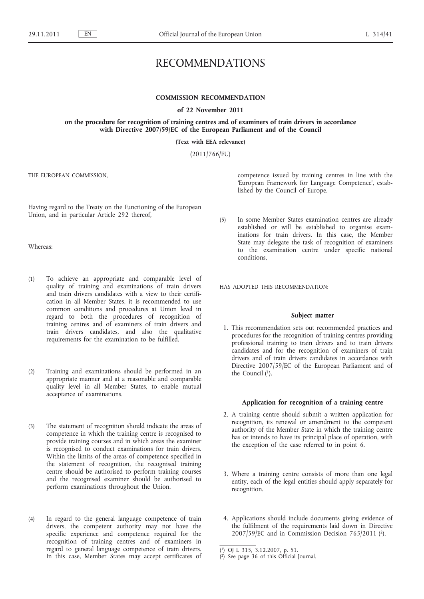# RECOMMENDATIONS

# **COMMISSION RECOMMENDATION**

**of 22 November 2011**

**on the procedure for recognition of training centres and of examiners of train drivers in accordance with Directive 2007/59/EC of the European Parliament and of the Council**

**(Text with EEA relevance)**

(2011/766/EU)

THE EUROPEAN COMMISSION,

Having regard to the Treaty on the Functioning of the European Union, and in particular Article 292 thereof,

Whereas:

- (1) To achieve an appropriate and comparable level of quality of training and examinations of train drivers and train drivers candidates with a view to their certification in all Member States, it is recommended to use common conditions and procedures at Union level in regard to both the procedures of recognition of training centres and of examiners of train drivers and train drivers candidates, and also the qualitative requirements for the examination to be fulfilled.
- (2) Training and examinations should be performed in an appropriate manner and at a reasonable and comparable quality level in all Member States, to enable mutual acceptance of examinations.
- (3) The statement of recognition should indicate the areas of competence in which the training centre is recognised to provide training courses and in which areas the examiner is recognised to conduct examinations for train drivers. Within the limits of the areas of competence specified in the statement of recognition, the recognised training centre should be authorised to perform training courses and the recognised examiner should be authorised to perform examinations throughout the Union.
- (4) In regard to the general language competence of train drivers, the competent authority may not have the specific experience and competence required for the recognition of training centres and of examiners in regard to general language competence of train drivers. In this case, Member States may accept certificates of

competence issued by training centres in line with the 'European Framework for Language Competence', established by the Council of Europe.

(5) In some Member States examination centres are already established or will be established to organise examinations for train drivers. In this case, the Member State may delegate the task of recognition of examiners to the examination centre under specific national conditions,

HAS ADOPTED THIS RECOMMENDATION:

#### **Subject matter**

1. This recommendation sets out recommended practices and procedures for the recognition of training centres providing professional training to train drivers and to train drivers candidates and for the recognition of examiners of train drivers and of train drivers candidates in accordance with Directive 2007/59/EC of the European Parliament and of the Council (1).

#### **Application for recognition of a training centre**

- 2. A training centre should submit a written application for recognition, its renewal or amendment to the competent authority of the Member State in which the training centre has or intends to have its principal place of operation, with the exception of the case referred to in point 6.
- 3. Where a training centre consists of more than one legal entity, each of the legal entities should apply separately for recognition.
- 4. Applications should include documents giving evidence of the fulfilment of the requirements laid down in Directive 2007/59/EC and in Commission Decision 765/2011 (2).

<sup>(</sup> 1) OJ L 315, 3.12.2007, p. 51.

<sup>(</sup> 2) See page 36 of this Official Journal.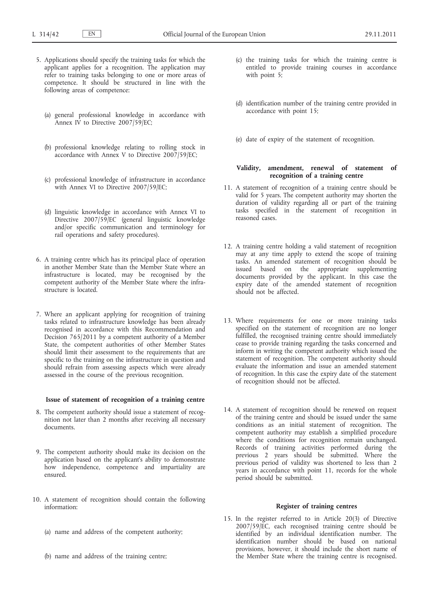- 5. Applications should specify the training tasks for which the applicant applies for a recognition. The application may refer to training tasks belonging to one or more areas of competence. It should be structured in line with the following areas of competence:
	- (a) general professional knowledge in accordance with Annex IV to Directive  $2007/59$ /EC;
	- (b) professional knowledge relating to rolling stock in accordance with Annex V to Directive 2007/59/EC;
	- (c) professional knowledge of infrastructure in accordance with Annex VI to Directive 2007/59/EC;
	- (d) linguistic knowledge in accordance with Annex VI to Directive 2007/59/EC (general linguistic knowledge and/or specific communication and terminology for rail operations and safety procedures).
- 6. A training centre which has its principal place of operation in another Member State than the Member State where an infrastructure is located, may be recognised by the competent authority of the Member State where the infrastructure is located.
- 7. Where an applicant applying for recognition of training tasks related to infrastructure knowledge has been already recognised in accordance with this Recommendation and Decision 765/2011 by a competent authority of a Member State, the competent authorities of other Member States should limit their assessment to the requirements that are specific to the training on the infrastructure in question and should refrain from assessing aspects which were already assessed in the course of the previous recognition.

# **Issue of statement of recognition of a training centre**

- 8. The competent authority should issue a statement of recognition not later than 2 months after receiving all necessary documents.
- 9. The competent authority should make its decision on the application based on the applicant's ability to demonstrate how independence, competence and impartiality are ensured.
- 10. A statement of recognition should contain the following information:
	- (a) name and address of the competent authority;
	- (b) name and address of the training centre;
- (c) the training tasks for which the training centre is entitled to provide training courses in accordance with point 5;
- (d) identification number of the training centre provided in accordance with point 15;
- (e) date of expiry of the statement of recognition.

# **Validity, amendment, renewal of statement of recognition of a training centre**

- 11. A statement of recognition of a training centre should be valid for 5 years. The competent authority may shorten the duration of validity regarding all or part of the training tasks specified in the statement of recognition in reasoned cases.
- 12. A training centre holding a valid statement of recognition may at any time apply to extend the scope of training tasks. An amended statement of recognition should be issued based on the appropriate supplementing documents provided by the applicant. In this case the expiry date of the amended statement of recognition should not be affected.
- 13. Where requirements for one or more training tasks specified on the statement of recognition are no longer fulfilled, the recognised training centre should immediately cease to provide training regarding the tasks concerned and inform in writing the competent authority which issued the statement of recognition. The competent authority should evaluate the information and issue an amended statement of recognition. In this case the expiry date of the statement of recognition should not be affected.
- 14. A statement of recognition should be renewed on request of the training centre and should be issued under the same conditions as an initial statement of recognition. The competent authority may establish a simplified procedure where the conditions for recognition remain unchanged. Records of training activities performed during the previous 2 years should be submitted. Where the previous period of validity was shortened to less than 2 years in accordance with point 11, records for the whole period should be submitted.

# **Register of training centres**

15. In the register referred to in Article 20(3) of Directive 2007/59/EC, each recognised training centre should be identified by an individual identification number. The identification number should be based on national provisions, however, it should include the short name of the Member State where the training centre is recognised.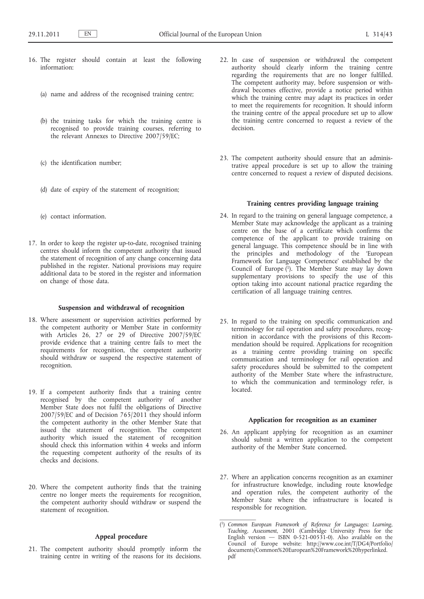- 16. The register should contain at least the following information:
	- (a) name and address of the recognised training centre;
	- (b) the training tasks for which the training centre is recognised to provide training courses, referring to the relevant Annexes to Directive 2007/59/EC;
	- (c) the identification number;
	- (d) date of expiry of the statement of recognition;
	- (e) contact information.
- 17. In order to keep the register up-to-date, recognised training centres should inform the competent authority that issued the statement of recognition of any change concerning data published in the register. National provisions may require additional data to be stored in the register and information on change of those data.

#### **Suspension and withdrawal of recognition**

- 18. Where assessment or supervision activities performed by the competent authority or Member State in conformity with Articles 26, 27 or 29 of Directive 2007/59/EC provide evidence that a training centre fails to meet the requirements for recognition, the competent authority should withdraw or suspend the respective statement of recognition.
- 19. If a competent authority finds that a training centre recognised by the competent authority of another Member State does not fulfil the obligations of Directive 2007/59/EC and of Decision 765/2011 they should inform the competent authority in the other Member State that issued the statement of recognition. The competent authority which issued the statement of recognition should check this information within 4 weeks and inform the requesting competent authority of the results of its checks and decisions.
- 20. Where the competent authority finds that the training centre no longer meets the requirements for recognition, the competent authority should withdraw or suspend the statement of recognition.

# **Appeal procedure**

21. The competent authority should promptly inform the training centre in writing of the reasons for its decisions.

- 22. In case of suspension or withdrawal the competent authority should clearly inform the training centre regarding the requirements that are no longer fulfilled. The competent authority may, before suspension or withdrawal becomes effective, provide a notice period within which the training centre may adapt its practices in order to meet the requirements for recognition. It should inform the training centre of the appeal procedure set up to allow the training centre concerned to request a review of the decision.
- 23. The competent authority should ensure that an administrative appeal procedure is set up to allow the training centre concerned to request a review of disputed decisions.

# **Training centres providing language training**

- 24. In regard to the training on general language competence, a Member State may acknowledge the applicant as a training centre on the base of a certificate which confirms the competence of the applicant to provide training on general language. This competence should be in line with the principles and methodology of the 'European Framework for Language Competence' established by the Council of Europe (1). The Member State may lay down supplementary provisions to specify the use of this option taking into account national practice regarding the certification of all language training centres.
- 25. In regard to the training on specific communication and terminology for rail operation and safety procedures, recognition in accordance with the provisions of this Recommendation should be required. Applications for recognition as a training centre providing training on specific communication and terminology for rail operation and safety procedures should be submitted to the competent authority of the Member State where the infrastructure, to which the communication and terminology refer, is located.

#### **Application for recognition as an examiner**

- 26. An applicant applying for recognition as an examiner should submit a written application to the competent authority of the Member State concerned.
- 27. Where an application concerns recognition as an examiner for infrastructure knowledge, including route knowledge and operation rules, the competent authority of the Member State where the infrastructure is located is responsible for recognition.

<sup>(</sup> 1) *Common European Framework of Reference for Languages: Learning, Teaching, Assessment*, 2001 (Cambridge University Press for the English version  $-$  ISBN 0-521-00531-0). Also available on the Council of Europe website: [http://www.coe.int/T/DG4/Portfolio/](http://www.coe.int/T/DG4/Portfolio/documents/Common%20European%20Framework%20hyperlinked.pdf) [documents/Common%20European%20Framework%20hyperlinked.](http://www.coe.int/T/DG4/Portfolio/documents/Common%20European%20Framework%20hyperlinked.pdf) [pdf](http://www.coe.int/T/DG4/Portfolio/documents/Common%20European%20Framework%20hyperlinked.pdf)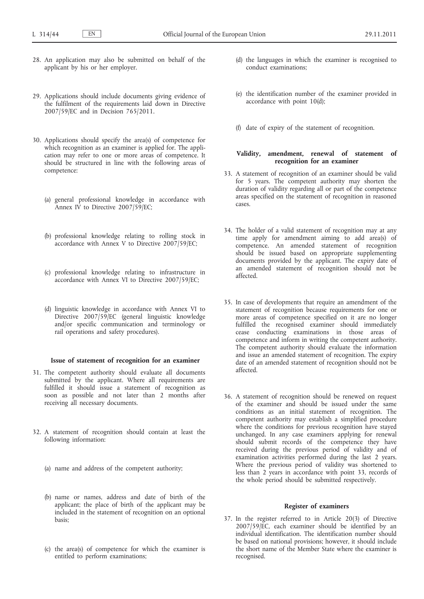- 28. An application may also be submitted on behalf of the applicant by his or her employer.
- 29. Applications should include documents giving evidence of the fulfilment of the requirements laid down in Directive 2007/59/EC and in Decision 765/2011.
- 30. Applications should specify the area(s) of competence for which recognition as an examiner is applied for. The application may refer to one or more areas of competence. It should be structured in line with the following areas of competence:
	- (a) general professional knowledge in accordance with Annex IV to Directive  $2007/59$ /EC;
	- (b) professional knowledge relating to rolling stock in accordance with Annex V to Directive 2007/59/EC;
	- (c) professional knowledge relating to infrastructure in accordance with Annex VI to Directive 2007/59/EC;
	- (d) linguistic knowledge in accordance with Annex VI to Directive 2007/59/EC (general linguistic knowledge and/or specific communication and terminology or rail operations and safety procedures).

## **Issue of statement of recognition for an examiner**

- 31. The competent authority should evaluate all documents submitted by the applicant. Where all requirements are fulfilled it should issue a statement of recognition as soon as possible and not later than 2 months after receiving all necessary documents.
- 32. A statement of recognition should contain at least the following information:
	- (a) name and address of the competent authority;
	- (b) name or names, address and date of birth of the applicant; the place of birth of the applicant may be included in the statement of recognition on an optional basis;
	- (c) the area(s) of competence for which the examiner is entitled to perform examinations;
- (d) the languages in which the examiner is recognised to conduct examinations;
- (e) the identification number of the examiner provided in accordance with point 10(d);
- (f) date of expiry of the statement of recognition.

# **Validity, amendment, renewal of statement of recognition for an examiner**

- 33. A statement of recognition of an examiner should be valid for 5 years. The competent authority may shorten the duration of validity regarding all or part of the competence areas specified on the statement of recognition in reasoned cases.
- 34. The holder of a valid statement of recognition may at any time apply for amendment aiming to add area(s) of competence. An amended statement of recognition should be issued based on appropriate supplementing documents provided by the applicant. The expiry date of an amended statement of recognition should not be affected.
- 35. In case of developments that require an amendment of the statement of recognition because requirements for one or more areas of competence specified on it are no longer fulfilled the recognised examiner should immediately cease conducting examinations in those areas of competence and inform in writing the competent authority. The competent authority should evaluate the information and issue an amended statement of recognition. The expiry date of an amended statement of recognition should not be affected.
- 36. A statement of recognition should be renewed on request of the examiner and should be issued under the same conditions as an initial statement of recognition. The competent authority may establish a simplified procedure where the conditions for previous recognition have stayed unchanged. In any case examiners applying for renewal should submit records of the competence they have received during the previous period of validity and of examination activities performed during the last 2 years. Where the previous period of validity was shortened to less than 2 years in accordance with point 33, records of the whole period should be submitted respectively.

#### **Register of examiners**

37. In the register referred to in Article 20(3) of Directive 2007/59/EC, each examiner should be identified by an individual identification. The identification number should be based on national provisions; however, it should include the short name of the Member State where the examiner is recognised.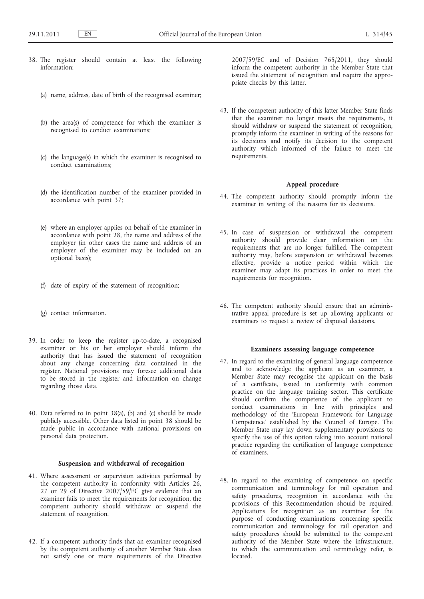- 38. The register should contain at least the following information:
	- (a) name, address, date of birth of the recognised examiner;
	- (b) the area(s) of competence for which the examiner is recognised to conduct examinations;
	- (c) the language(s) in which the examiner is recognised to conduct examinations;
	- (d) the identification number of the examiner provided in accordance with point 37;
	- (e) where an employer applies on behalf of the examiner in accordance with point 28, the name and address of the employer (in other cases the name and address of an employer of the examiner may be included on an optional basis);
	- (f) date of expiry of the statement of recognition;
	- (g) contact information.
- 39. In order to keep the register up-to-date, a recognised examiner or his or her employer should inform the authority that has issued the statement of recognition about any change concerning data contained in the register. National provisions may foresee additional data to be stored in the register and information on change regarding those data.
- 40. Data referred to in point 38(a), (b) and (c) should be made publicly accessible. Other data listed in point 38 should be made public in accordance with national provisions on personal data protection.

# **Suspension and withdrawal of recognition**

- 41. Where assessment or supervision activities performed by the competent authority in conformity with Articles 26, 27 or 29 of Directive 2007/59/EC give evidence that an examiner fails to meet the requirements for recognition, the competent authority should withdraw or suspend the statement of recognition.
- 42. If a competent authority finds that an examiner recognised by the competent authority of another Member State does not satisfy one or more requirements of the Directive

2007/59/EC and of Decision 765/2011, they should inform the competent authority in the Member State that issued the statement of recognition and require the appropriate checks by this latter.

43. If the competent authority of this latter Member State finds that the examiner no longer meets the requirements, it should withdraw or suspend the statement of recognition, promptly inform the examiner in writing of the reasons for its decisions and notify its decision to the competent authority which informed of the failure to meet the requirements.

# **Appeal procedure**

- 44. The competent authority should promptly inform the examiner in writing of the reasons for its decisions.
- 45. In case of suspension or withdrawal the competent authority should provide clear information on the requirements that are no longer fulfilled. The competent authority may, before suspension or withdrawal becomes effective, provide a notice period within which the examiner may adapt its practices in order to meet the requirements for recognition.
- 46. The competent authority should ensure that an administrative appeal procedure is set up allowing applicants or examiners to request a review of disputed decisions.

#### **Examiners assessing language competence**

- 47. In regard to the examining of general language competence and to acknowledge the applicant as an examiner, a Member State may recognise the applicant on the basis of a certificate, issued in conformity with common practice on the language training sector. This certificate should confirm the competence of the applicant to conduct examinations in line with principles and methodology of the 'European Framework for Language Competence' established by the Council of Europe. The Member State may lay down supplementary provisions to specify the use of this option taking into account national practice regarding the certification of language competence of examiners.
- 48. In regard to the examining of competence on specific communication and terminology for rail operation and safety procedures, recognition in accordance with the provisions of this Recommendation should be required. Applications for recognition as an examiner for the purpose of conducting examinations concerning specific communication and terminology for rail operation and safety procedures should be submitted to the competent authority of the Member State where the infrastructure, to which the communication and terminology refer, is located.